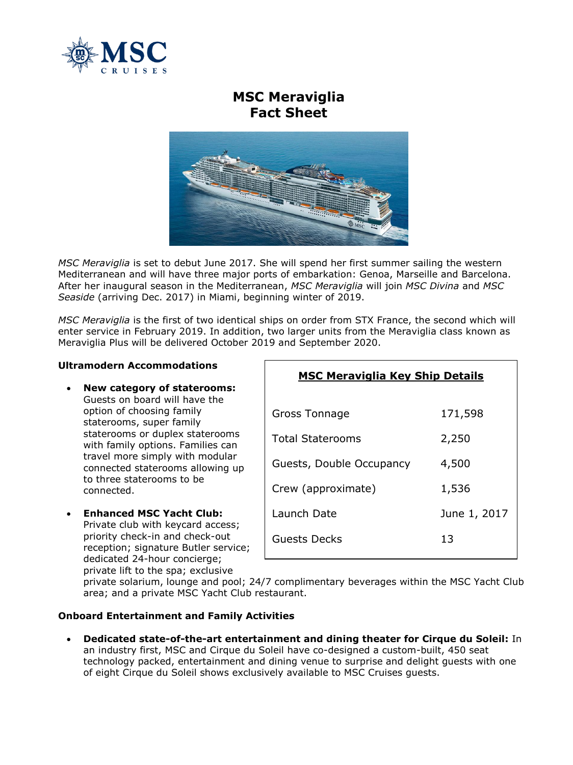

# **MSC Meraviglia Fact Sheet**



*MSC Meraviglia* is set to debut June 2017. She will spend her first summer sailing the western Mediterranean and will have three major ports of embarkation: Genoa, Marseille and Barcelona. After her inaugural season in the Mediterranean, *MSC Meraviglia* will join *MSC Divina* and *MSC Seaside* (arriving Dec. 2017) in Miami, beginning winter of 2019.

*MSC Meraviglia* is the first of two identical ships on order from STX France, the second which will enter service in February 2019. In addition, two larger units from the Meraviglia class known as Meraviglia Plus will be delivered October 2019 and September 2020.

## **Ultramodern Accommodations**

- **New category of staterooms:**  Guests on board will have the option of choosing family staterooms, super family staterooms or duplex staterooms with family options. Families can travel more simply with modular connected staterooms allowing up to three staterooms to be connected.
- **Enhanced MSC Yacht Club:**  Private club with keycard access; priority check-in and check-out reception; signature Butler service; dedicated 24-hour concierge; private lift to the spa; exclusive

| Gross Tonnage            | 171,598      |
|--------------------------|--------------|
| <b>Total Staterooms</b>  | 2,250        |
| Guests, Double Occupancy | 4,500        |
| Crew (approximate)       | 1,536        |
| Launch Date              | June 1, 2017 |
| Guests Decks             | 13           |
|                          |              |

**MSC Meraviglia Key Ship Details**

private solarium, lounge and pool; 24/7 complimentary beverages within the MSC Yacht Club area; and a private MSC Yacht Club restaurant.

## **Onboard Entertainment and Family Activities**

 **Dedicated state-of-the-art entertainment and dining theater for Cirque du Soleil:** In an industry first, MSC and Cirque du Soleil have co-designed a custom-built, 450 seat technology packed, entertainment and dining venue to surprise and delight guests with one of eight Cirque du Soleil shows exclusively available to MSC Cruises guests.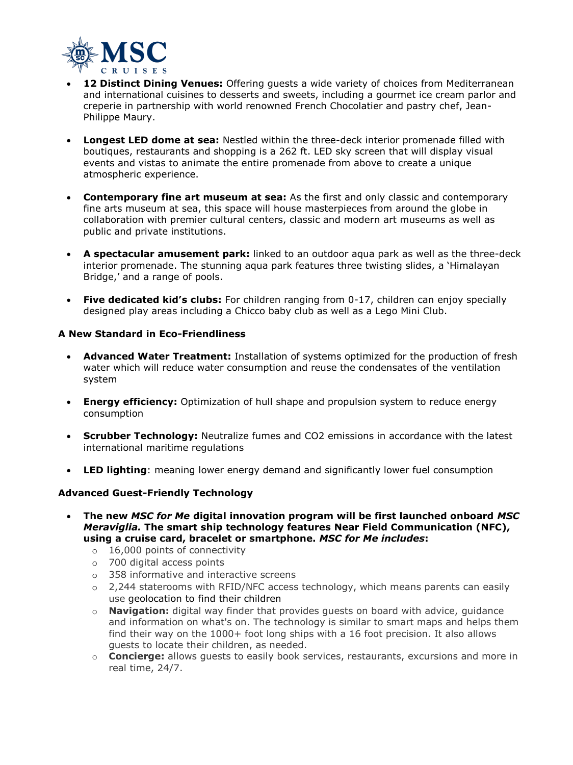

- **12 Distinct Dining Venues:** Offering guests a wide variety of choices from Mediterranean and international cuisines to desserts and sweets, including a gourmet ice cream parlor and creperie in partnership with world renowned French Chocolatier and pastry chef, Jean-Philippe Maury.
- **Longest LED dome at sea:** Nestled within the three-deck interior promenade filled with boutiques, restaurants and shopping is a 262 ft. LED sky screen that will display visual events and vistas to animate the entire promenade from above to create a unique atmospheric experience.
- **Contemporary fine art museum at sea:** As the first and only classic and contemporary fine arts museum at sea, this space will house masterpieces from around the globe in collaboration with premier cultural centers, classic and modern art museums as well as public and private institutions.
- **A spectacular amusement park:** linked to an outdoor aqua park as well as the three-deck interior promenade. The stunning aqua park features three twisting slides, a 'Himalayan Bridge,' and a range of pools.
- **Five dedicated kid's clubs:** For children ranging from 0-17, children can enjoy specially designed play areas including a Chicco baby club as well as a Lego Mini Club.

## **A New Standard in Eco-Friendliness**

- **Advanced Water Treatment:** Installation of systems optimized for the production of fresh water which will reduce water consumption and reuse the condensates of the ventilation system
- **Energy efficiency:** Optimization of hull shape and propulsion system to reduce energy consumption
- **Scrubber Technology:** Neutralize fumes and CO2 emissions in accordance with the latest international maritime regulations
- **LED lighting**: meaning lower energy demand and significantly lower fuel consumption

## **Advanced Guest-Friendly Technology**

- **The new** *MSC for Me* **digital innovation program will be first launched onboard** *MSC Meraviglia.* **The smart ship technology features Near Field Communication (NFC), using a cruise card, bracelet or smartphone.** *MSC for Me includes***:** 
	- o 16,000 points of connectivity
	- o 700 digital access points
	- o 358 informative and interactive screens
	- $\circ$  2,244 staterooms with RFID/NFC access technology, which means parents can easily use geolocation to find their children
	- o **Navigation:** digital way finder that provides guests on board with advice, guidance and information on what's on. The technology is similar to smart maps and helps them find their way on the 1000+ foot long ships with a 16 foot precision. It also allows guests to locate their children, as needed.
	- o **Concierge:** allows guests to easily book services, restaurants, excursions and more in real time, 24/7.